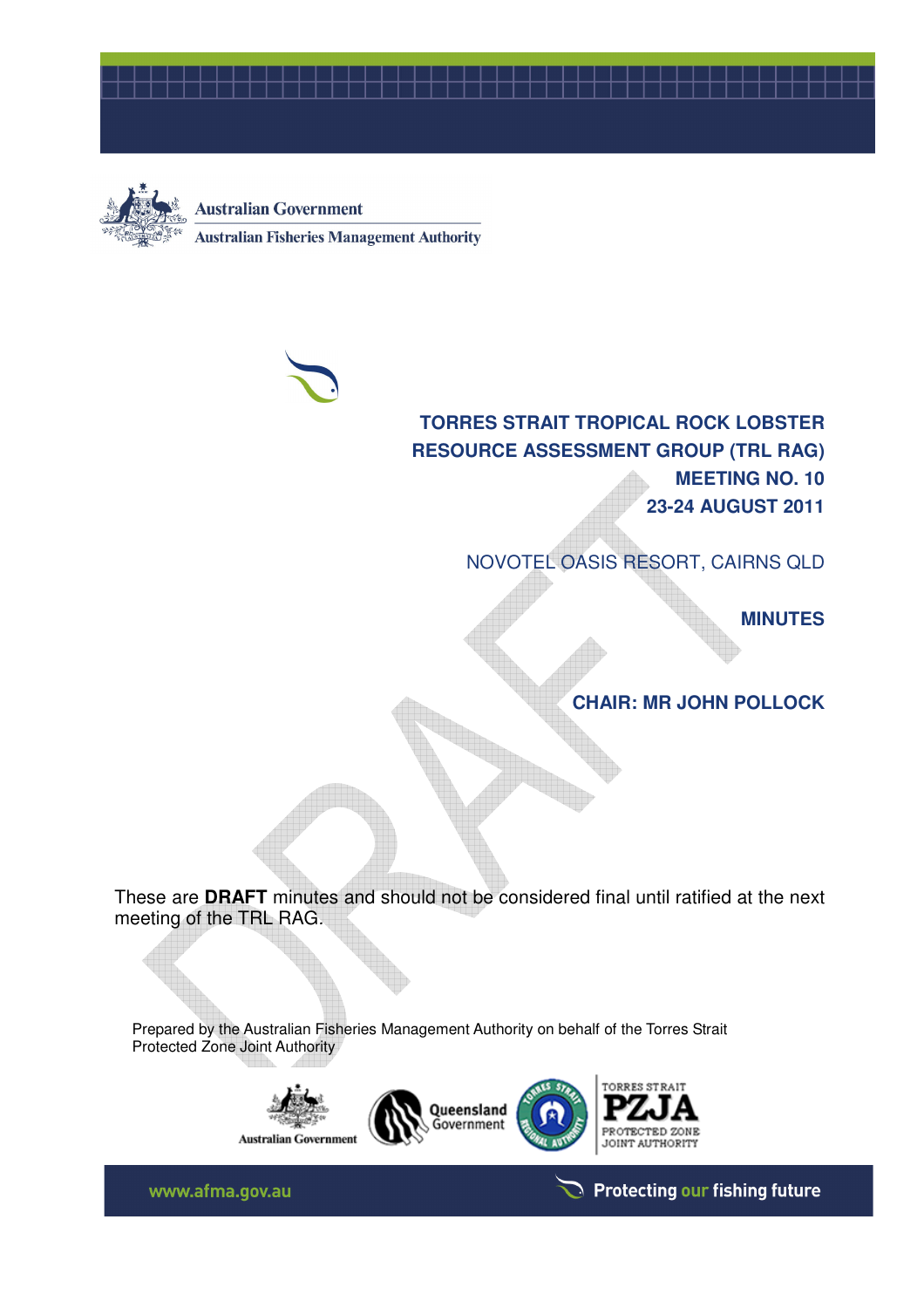



**Australian Government Australian Fisheries Management Authority** 



**TORRES STRAIT TROPICAL ROCK LOBSTER RESOURCE ASSESSMENT GROUP (TRL RAG) MEETING NO. 10 23-24 AUGUST 2011** 

NOVOTEL OASIS RESORT, CAIRNS QLD

**MINUTES** 

**CHAIR: MR JOHN POLLOCK** 

These are **DRAFT** minutes and should not be considered final until ratified at the next meeting of the TRL RAG.

Prepared by the Australian Fisheries Management Authority on behalf of the Torres Strait Protected Zone Joint Authority







www.afma.gov.au

Protecting our fishing future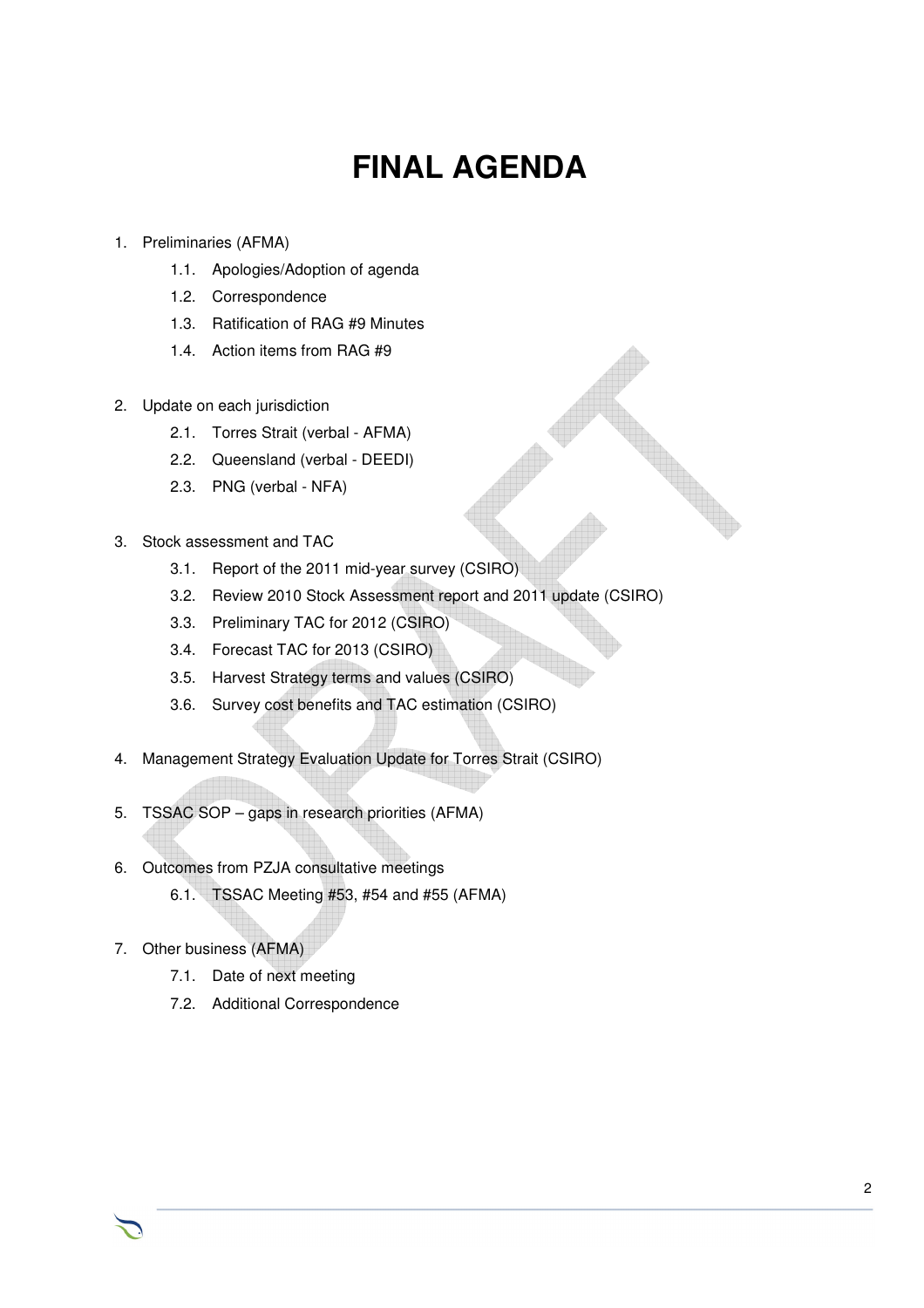# **FINAL AGENDA**

- 1. Preliminaries (AFMA)
	- 1.1. Apologies/Adoption of agenda
	- 1.2. Correspondence
	- 1.3. Ratification of RAG #9 Minutes
	- 1.4. Action items from RAG #9
- 2. Update on each jurisdiction
	- 2.1. Torres Strait (verbal AFMA)
	- 2.2. Queensland (verbal DEEDI)
	- 2.3. PNG (verbal NFA)
- 3. Stock assessment and TAC
	- 3.1. Report of the 2011 mid-year survey (CSIRO)
	- 3.2. Review 2010 Stock Assessment report and 2011 update (CSIRO)
	- 3.3. Preliminary TAC for 2012 (CSIRO)
	- 3.4. Forecast TAC for 2013 (CSIRO)
	- 3.5. Harvest Strategy terms and values (CSIRO)
	- 3.6. Survey cost benefits and TAC estimation (CSIRO)
- 4. Management Strategy Evaluation Update for Torres Strait (CSIRO)
- 5. TSSAC SOP gaps in research priorities (AFMA)
- 6. Outcomes from PZJA consultative meetings
	- 6.1. TSSAC Meeting #53, #54 and #55 (AFMA)
- 7. Other business (AFMA)
	- 7.1. Date of next meeting
	- 7.2. Additional Correspondence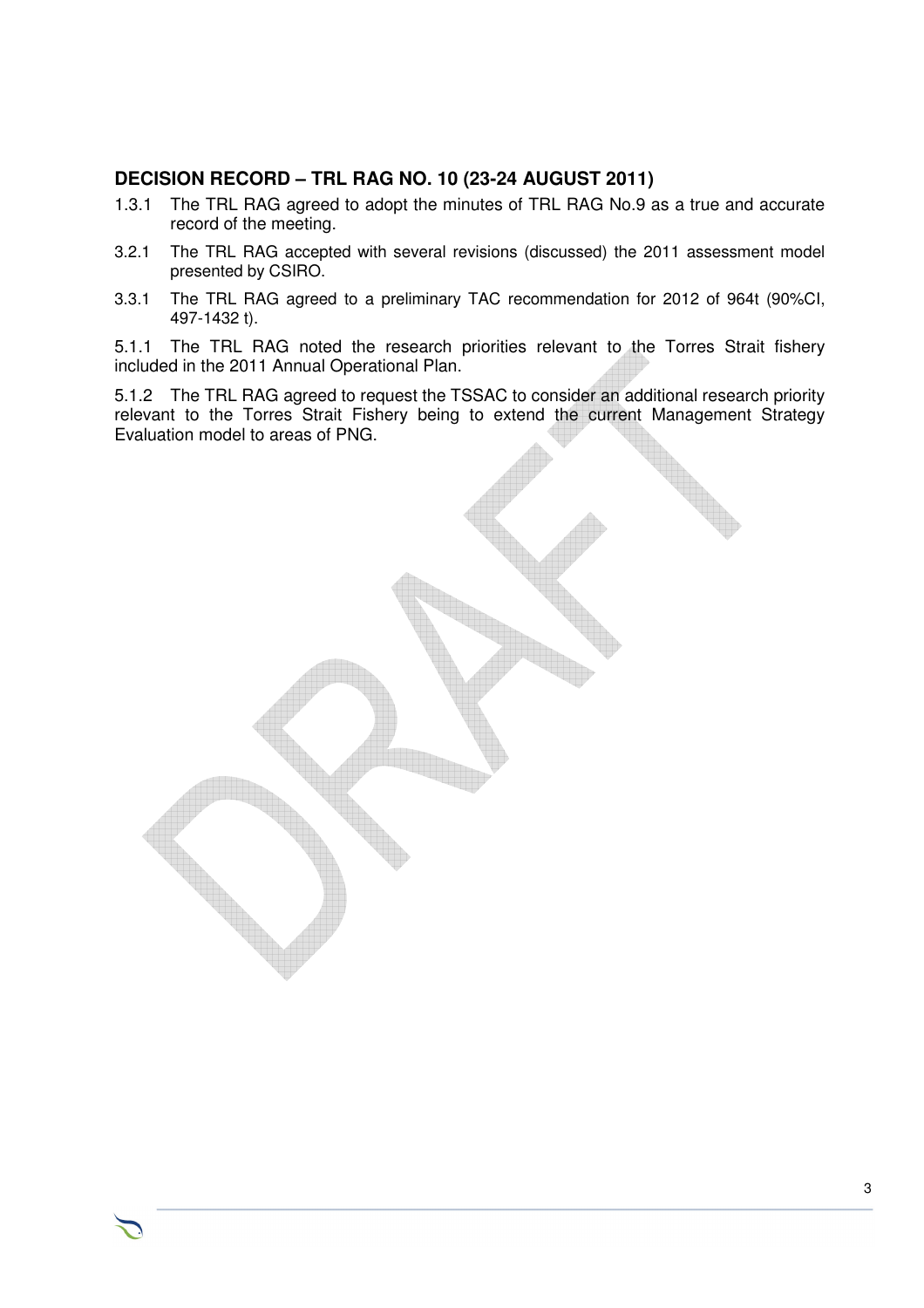# **DECISION RECORD – TRL RAG NO. 10 (23-24 AUGUST 2011)**

- 1.3.1 The TRL RAG agreed to adopt the minutes of TRL RAG No.9 as a true and accurate record of the meeting.
- 3.2.1 The TRL RAG accepted with several revisions (discussed) the 2011 assessment model presented by CSIRO.
- 3.3.1 The TRL RAG agreed to a preliminary TAC recommendation for 2012 of 964t (90%CI, 497-1432 t).

5.1.1 The TRL RAG noted the research priorities relevant to the Torres Strait fishery included in the 2011 Annual Operational Plan.

5.1.2 The TRL RAG agreed to request the TSSAC to consider an additional research priority relevant to the Torres Strait Fishery being to extend the current Management Strategy Evaluation model to areas of PNG.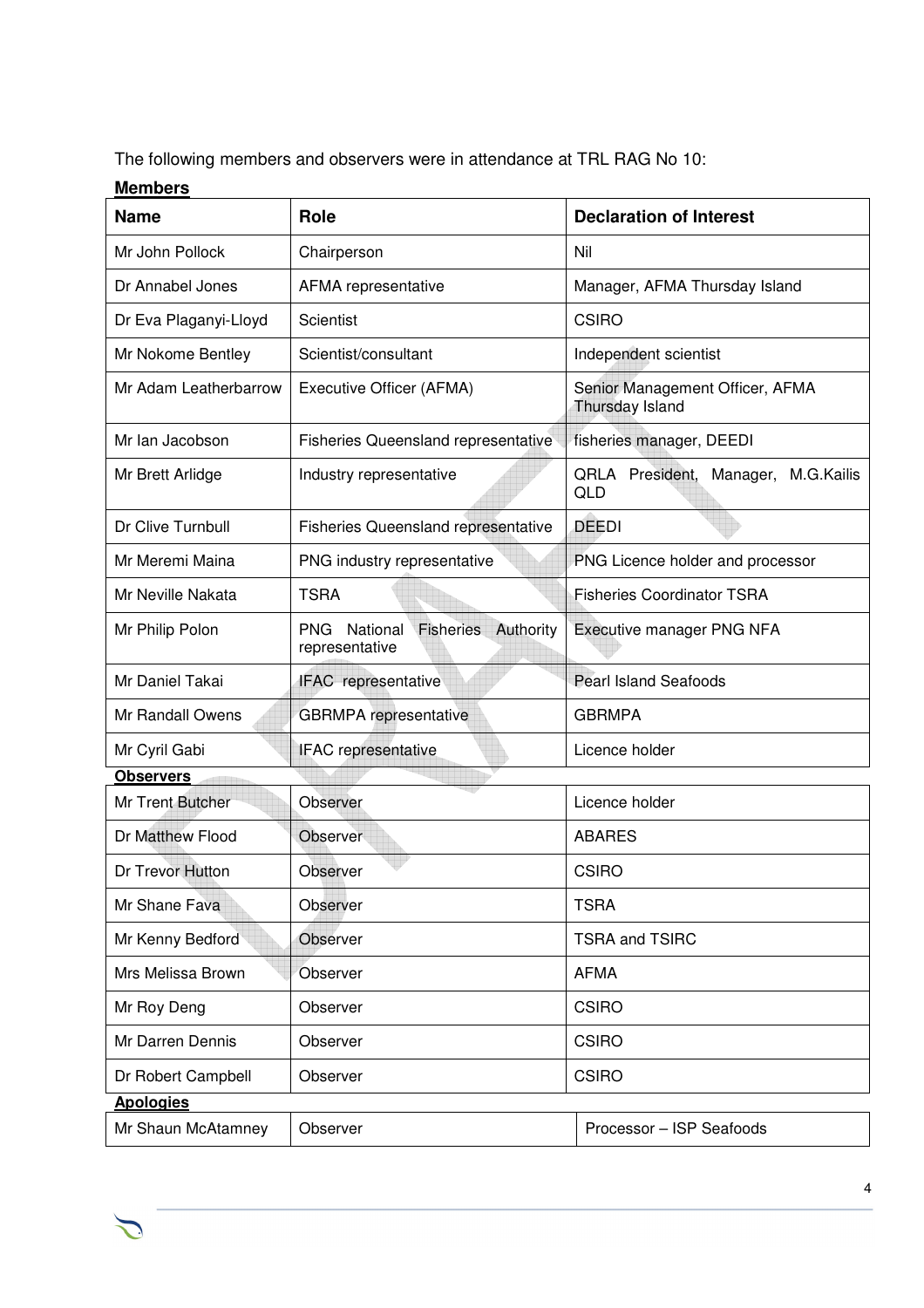The following members and observers were in attendance at TRL RAG No 10:

# **Members**

 $\sum$ 

| <b>Name</b>           | <b>Role</b>                                                               | <b>Declaration of Interest</b>                       |
|-----------------------|---------------------------------------------------------------------------|------------------------------------------------------|
| Mr John Pollock       | Chairperson                                                               | Nil                                                  |
| Dr Annabel Jones      | AFMA representative                                                       | Manager, AFMA Thursday Island                        |
| Dr Eva Plaganyi-Lloyd | Scientist                                                                 | <b>CSIRO</b>                                         |
| Mr Nokome Bentley     | Scientist/consultant                                                      | Independent scientist                                |
| Mr Adam Leatherbarrow | Executive Officer (AFMA)                                                  | Senior Management Officer, AFMA<br>Thursday Island   |
| Mr Ian Jacobson       | <b>Fisheries Queensland representative</b>                                | fisheries manager, DEEDI                             |
| Mr Brett Arlidge      | Industry representative                                                   | QRLA President,<br>Manager, M.G.Kailis<br><b>QLD</b> |
| Dr Clive Turnbull     | <b>Fisheries Queensland representative</b>                                | <b>DEEDI</b>                                         |
| Mr Meremi Maina       | PNG industry representative                                               | PNG Licence holder and processor                     |
| Mr Neville Nakata     | <b>TSRA</b>                                                               | <b>Fisheries Coordinator TSRA</b>                    |
| Mr Philip Polon       | National<br><b>Fisheries</b><br>Authority<br><b>PNG</b><br>representative | Executive manager PNG NFA                            |
| Mr Daniel Takai       | IFAC representative                                                       | <b>Pearl Island Seafoods</b>                         |
| Mr Randall Owens      | <b>GBRMPA</b> representative                                              | <b>GBRMPA</b>                                        |
| Mr Cyril Gabi         | <b>IFAC</b> representative                                                | Licence holder                                       |
| <b>Observers</b>      |                                                                           |                                                      |
| Mr Trent Butcher      | Observer                                                                  | Licence holder                                       |
| Dr Matthew Flood      | Observer                                                                  | <b>ABARES</b>                                        |
| Dr Trevor Hutton      | Observer                                                                  | <b>CSIRO</b>                                         |
| Mr Shane Fava         | Observer                                                                  | <b>TSRA</b>                                          |
| Mr Kenny Bedford      | Observer                                                                  | <b>TSRA and TSIRC</b>                                |
| Mrs Melissa Brown     | Observer                                                                  | <b>AFMA</b>                                          |
| Mr Roy Deng           | Observer                                                                  | <b>CSIRO</b>                                         |
| Mr Darren Dennis      | Observer                                                                  | <b>CSIRO</b>                                         |
| Dr Robert Campbell    | Observer                                                                  | <b>CSIRO</b>                                         |
| <b>Apologies</b>      |                                                                           |                                                      |
| Mr Shaun McAtamney    | Observer                                                                  | Processor - ISP Seafoods                             |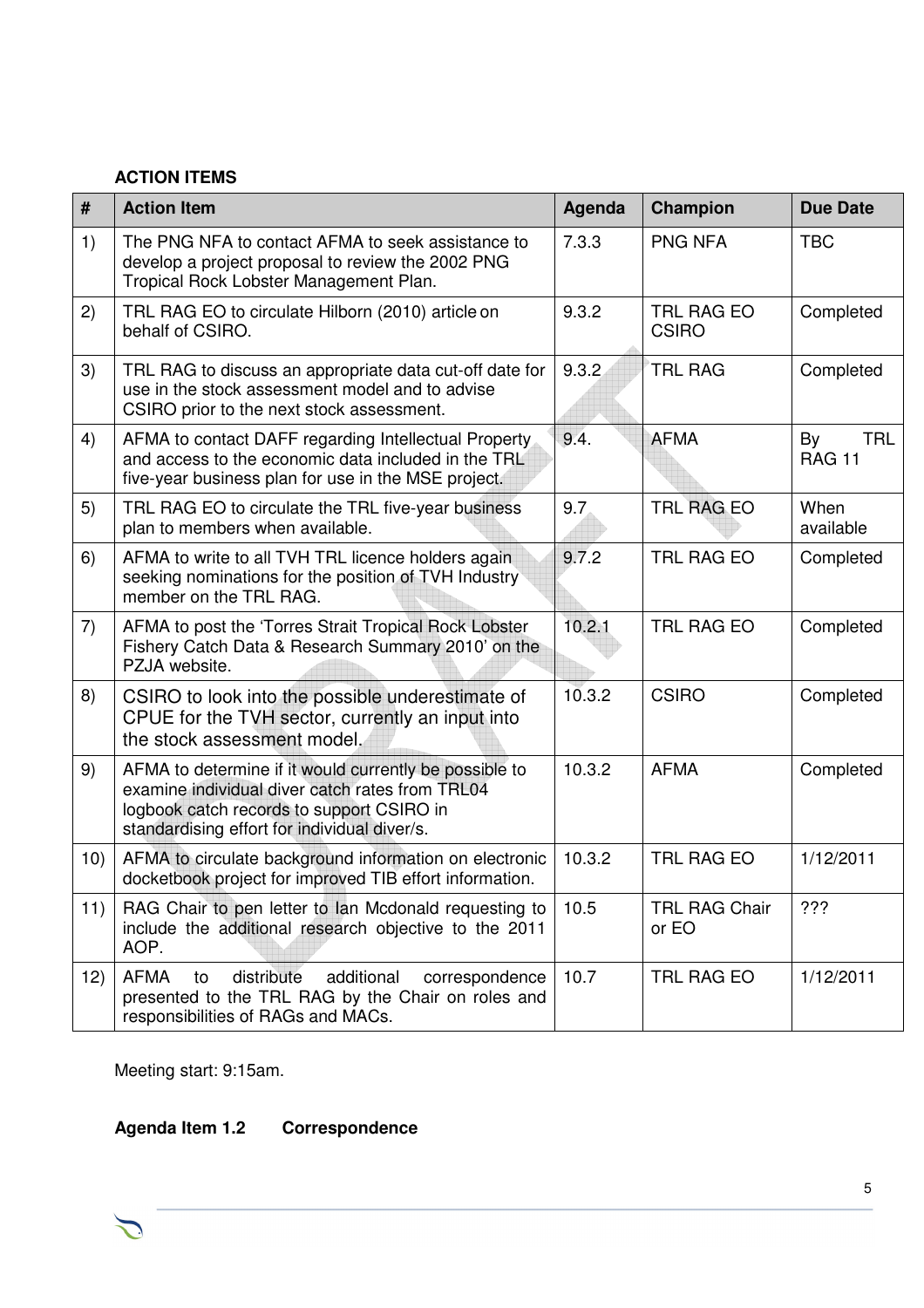## **ACTION ITEMS**

| #   | <b>Action Item</b>                                                                                                                                                                                     | Agenda | Champion                      | <b>Due Date</b>                   |
|-----|--------------------------------------------------------------------------------------------------------------------------------------------------------------------------------------------------------|--------|-------------------------------|-----------------------------------|
| 1)  | The PNG NFA to contact AFMA to seek assistance to<br>develop a project proposal to review the 2002 PNG<br>Tropical Rock Lobster Management Plan.                                                       | 7.3.3  | <b>PNG NFA</b>                | <b>TBC</b>                        |
| 2)  | TRL RAG EO to circulate Hilborn (2010) article on<br>behalf of CSIRO.                                                                                                                                  | 9.3.2  | TRL RAG EO<br><b>CSIRO</b>    | Completed                         |
| 3)  | TRL RAG to discuss an appropriate data cut-off date for<br>use in the stock assessment model and to advise<br>CSIRO prior to the next stock assessment.                                                | 9.3.2  | <b>TRL RAG</b>                | Completed                         |
| 4)  | AFMA to contact DAFF regarding Intellectual Property<br>and access to the economic data included in the TRL<br>five-year business plan for use in the MSE project.                                     | 9.4.   | <b>AFMA</b>                   | By<br><b>TRL</b><br><b>RAG 11</b> |
| 5)  | TRL RAG EO to circulate the TRL five-year business<br>plan to members when available.                                                                                                                  | 9.7    | <b>TRL RAG EO</b>             | When<br>available                 |
| 6)  | AFMA to write to all TVH TRL licence holders again<br>seeking nominations for the position of TVH Industry<br>member on the TRL RAG.                                                                   | 9.7.2  | <b>TRL RAG EO</b>             | Completed                         |
| 7)  | AFMA to post the 'Torres Strait Tropical Rock Lobster<br>Fishery Catch Data & Research Summary 2010' on the<br>PZJA website.                                                                           | 10.2.1 | TRL RAG EO                    | Completed                         |
| 8)  | CSIRO to look into the possible underestimate of<br>CPUE for the TVH sector, currently an input into<br>the stock assessment model.                                                                    | 10.3.2 | <b>CSIRO</b>                  | Completed                         |
| 9)  | AFMA to determine if it would currently be possible to<br>examine individual diver catch rates from TRL04<br>logbook catch records to support CSIRO in<br>standardising effort for individual diver/s. | 10.3.2 | <b>AFMA</b>                   | Completed                         |
| 10) | AFMA to circulate background information on electronic<br>docketbook project for improved TIB effort information.                                                                                      | 10.3.2 | <b>TRL RAG EO</b>             | 1/12/2011                         |
| 11) | RAG Chair to pen letter to lan Mcdonald requesting to<br>include the additional research objective to the 2011<br>AOP.                                                                                 | 10.5   | <b>TRL RAG Chair</b><br>or EO | ???                               |
| 12) | distribute<br>AFMA<br>additional<br>correspondence<br>to<br>presented to the TRL RAG by the Chair on roles and<br>responsibilities of RAGs and MACs.                                                   | 10.7   | TRL RAG EO                    | 1/12/2011                         |

Meeting start: 9:15am.

# **Agenda Item 1.2 Correspondence**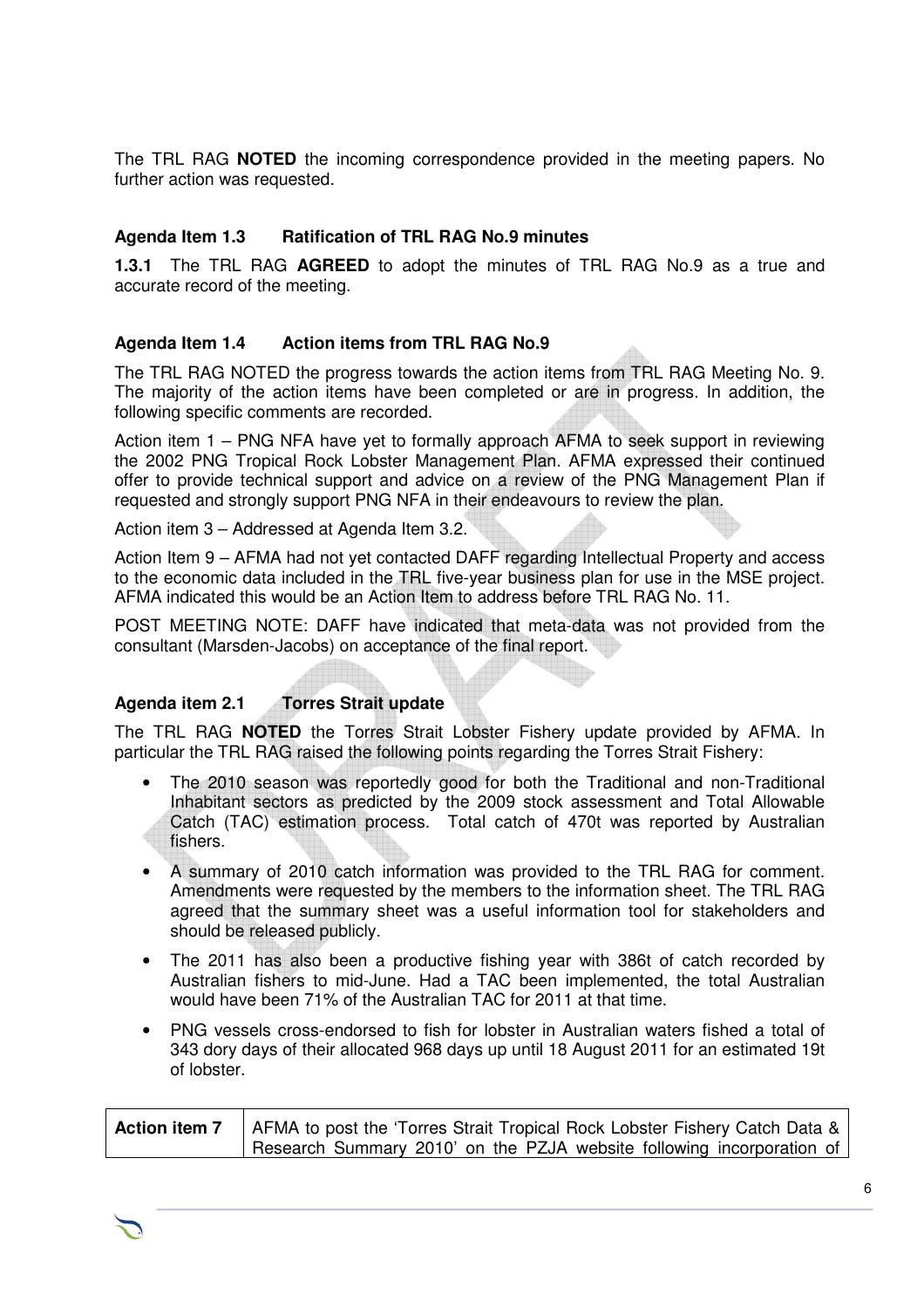The TRL RAG **NOTED** the incoming correspondence provided in the meeting papers. No further action was requested.

#### **Agenda Item 1.3 Ratification of TRL RAG No.9 minutes**

**1.3.1** The TRL RAG **AGREED** to adopt the minutes of TRL RAG No.9 as a true and accurate record of the meeting.

#### **Agenda Item 1.4 Action items from TRL RAG No.9**

The TRL RAG NOTED the progress towards the action items from TRL RAG Meeting No. 9. The majority of the action items have been completed or are in progress. In addition, the following specific comments are recorded.

Action item 1 – PNG NFA have yet to formally approach AFMA to seek support in reviewing the 2002 PNG Tropical Rock Lobster Management Plan. AFMA expressed their continued offer to provide technical support and advice on a review of the PNG Management Plan if requested and strongly support PNG NFA in their endeavours to review the plan.

Action item 3 – Addressed at Agenda Item 3.2.

Action Item 9 – AFMA had not yet contacted DAFF regarding Intellectual Property and access to the economic data included in the TRL five-year business plan for use in the MSE project. AFMA indicated this would be an Action Item to address before TRL RAG No. 11.

POST MEETING NOTE: DAFF have indicated that meta-data was not provided from the consultant (Marsden-Jacobs) on acceptance of the final report.

#### **Agenda item 2.1 Torres Strait update**

The TRL RAG **NOTED** the Torres Strait Lobster Fishery update provided by AFMA. In particular the TRL RAG raised the following points regarding the Torres Strait Fishery:

- The 2010 season was reportedly good for both the Traditional and non-Traditional Inhabitant sectors as predicted by the 2009 stock assessment and Total Allowable Catch (TAC) estimation process. Total catch of 470t was reported by Australian fishers.
- A summary of 2010 catch information was provided to the TRL RAG for comment. Amendments were requested by the members to the information sheet. The TRL RAG agreed that the summary sheet was a useful information tool for stakeholders and should be released publicly.
- The 2011 has also been a productive fishing year with 386t of catch recorded by Australian fishers to mid-June. Had a TAC been implemented, the total Australian would have been 71% of the Australian TAC for 2011 at that time.
- PNG vessels cross-endorsed to fish for lobster in Australian waters fished a total of 343 dory days of their allocated 968 days up until 18 August 2011 for an estimated 19t of lobster.

| <b>Action item 7</b>   AFMA to post the 'Torres Strait Tropical Rock Lobster Fishery Catch Data & |
|---------------------------------------------------------------------------------------------------|
| Research Summary 2010' on the PZJA website following incorporation of                             |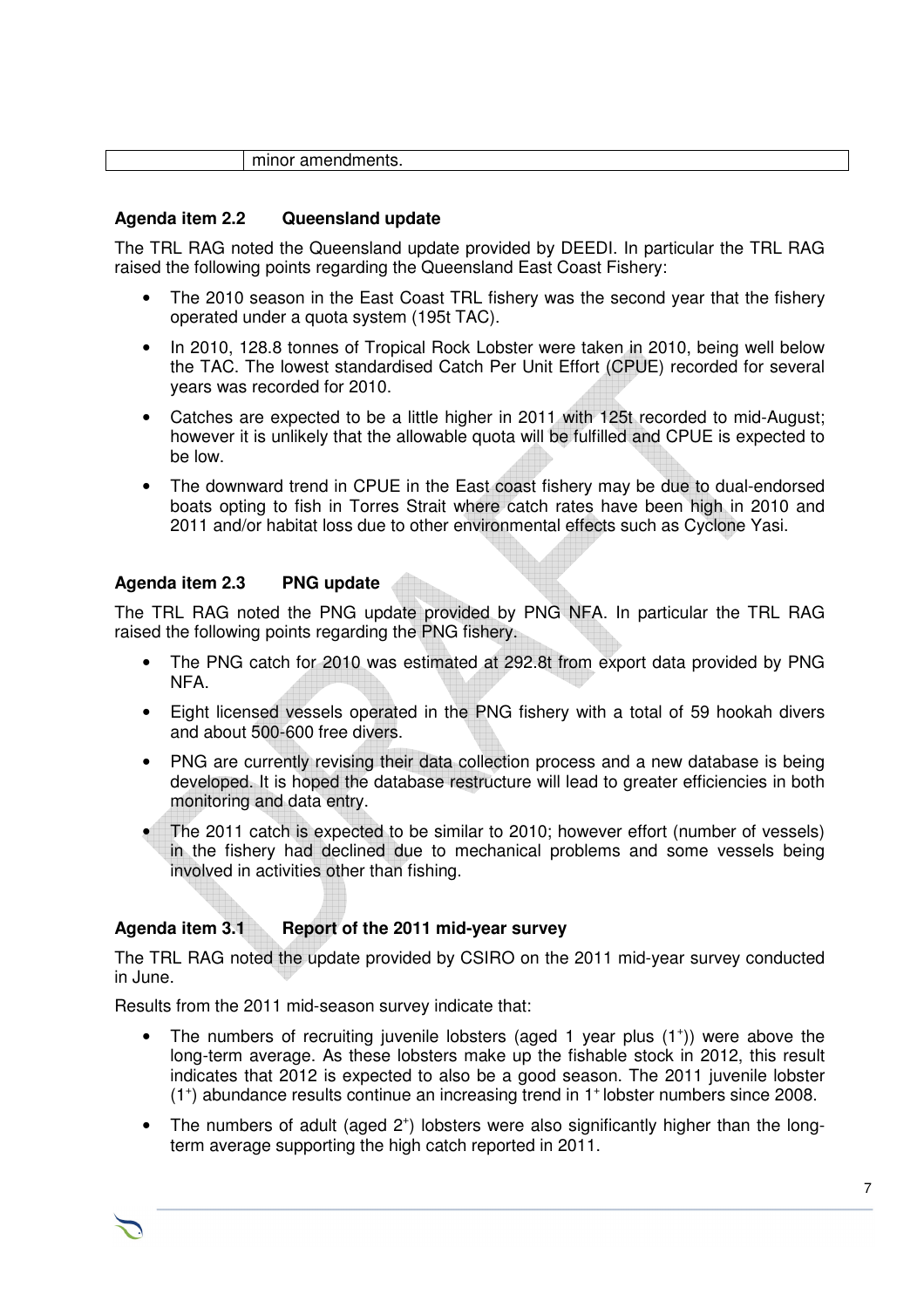|  | minor amendments. |
|--|-------------------|
|  |                   |

#### **Agenda item 2.2 Queensland update**

The TRL RAG noted the Queensland update provided by DEEDI. In particular the TRL RAG raised the following points regarding the Queensland East Coast Fishery:

- The 2010 season in the East Coast TRL fishery was the second year that the fishery operated under a quota system (195t TAC).
- In 2010, 128.8 tonnes of Tropical Rock Lobster were taken in 2010, being well below the TAC. The lowest standardised Catch Per Unit Effort (CPUE) recorded for several years was recorded for 2010.
- Catches are expected to be a little higher in 2011 with 125t recorded to mid-August; however it is unlikely that the allowable quota will be fulfilled and CPUE is expected to be low.
- The downward trend in CPUE in the East coast fishery may be due to dual-endorsed boats opting to fish in Torres Strait where catch rates have been high in 2010 and 2011 and/or habitat loss due to other environmental effects such as Cyclone Yasi.

#### **Agenda item 2.3 PNG update**

The TRL RAG noted the PNG update provided by PNG NFA. In particular the TRL RAG raised the following points regarding the PNG fishery.

- The PNG catch for 2010 was estimated at 292.8t from export data provided by PNG NFA.
- Eight licensed vessels operated in the PNG fishery with a total of 59 hookah divers and about 500-600 free divers.
- PNG are currently revising their data collection process and a new database is being developed. It is hoped the database restructure will lead to greater efficiencies in both monitoring and data entry.
- The 2011 catch is expected to be similar to 2010; however effort (number of vessels) in the fishery had declined due to mechanical problems and some vessels being involved in activities other than fishing.

# **Agenda item 3.1 Report of the 2011 mid-year survey**

The TRL RAG noted the update provided by CSIRO on the 2011 mid-year survey conducted in June.

Results from the 2011 mid-season survey indicate that:

- The numbers of recruiting juvenile lobsters (aged 1 year plus  $(1^+)$ ) were above the long-term average. As these lobsters make up the fishable stock in 2012, this result indicates that 2012 is expected to also be a good season. The 2011 juvenile lobster (1<sup>+</sup>) abundance results continue an increasing trend in 1<sup>+</sup> lobster numbers since 2008.
- The numbers of adult (aged 2<sup>+</sup>) lobsters were also significantly higher than the longterm average supporting the high catch reported in 2011.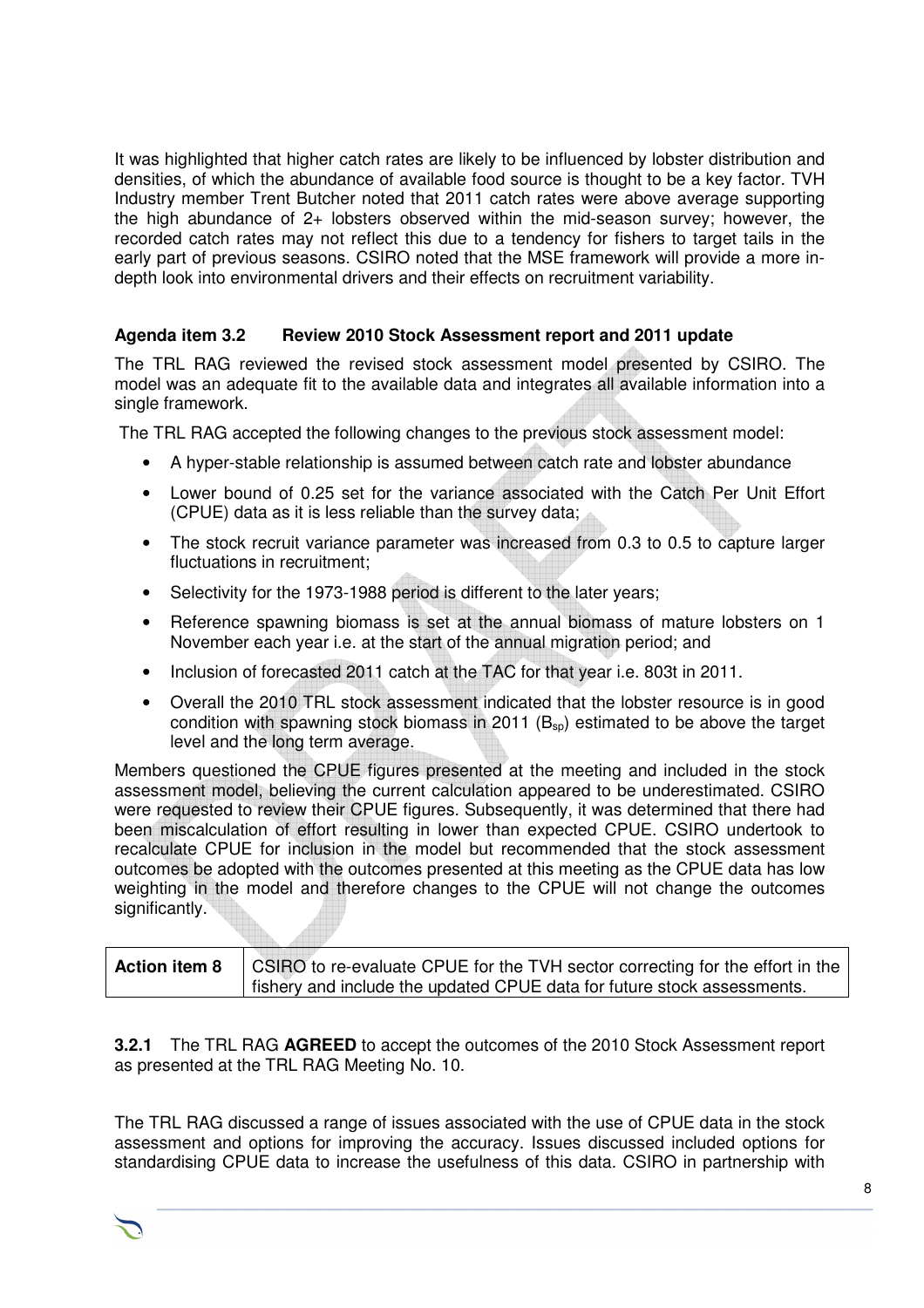It was highlighted that higher catch rates are likely to be influenced by lobster distribution and densities, of which the abundance of available food source is thought to be a key factor. TVH Industry member Trent Butcher noted that 2011 catch rates were above average supporting the high abundance of 2+ lobsters observed within the mid-season survey; however, the recorded catch rates may not reflect this due to a tendency for fishers to target tails in the early part of previous seasons. CSIRO noted that the MSE framework will provide a more indepth look into environmental drivers and their effects on recruitment variability.

## **Agenda item 3.2 Review 2010 Stock Assessment report and 2011 update**

The TRL RAG reviewed the revised stock assessment model presented by CSIRO. The model was an adequate fit to the available data and integrates all available information into a single framework.

The TRL RAG accepted the following changes to the previous stock assessment model:

- A hyper-stable relationship is assumed between catch rate and lobster abundance
- Lower bound of 0.25 set for the variance associated with the Catch Per Unit Effort (CPUE) data as it is less reliable than the survey data;
- The stock recruit variance parameter was increased from 0.3 to 0.5 to capture larger fluctuations in recruitment;
- Selectivity for the 1973-1988 period is different to the later years;
- Reference spawning biomass is set at the annual biomass of mature lobsters on 1 November each year i.e. at the start of the annual migration period; and
- Inclusion of forecasted 2011 catch at the TAC for that year i.e. 803t in 2011.
- Overall the 2010 TRL stock assessment indicated that the lobster resource is in good condition with spawning stock biomass in 2011 ( $B_{\rm so}$ ) estimated to be above the target level and the long term average.

Members questioned the CPUE figures presented at the meeting and included in the stock assessment model, believing the current calculation appeared to be underestimated. CSIRO were requested to review their CPUE figures. Subsequently, it was determined that there had been miscalculation of effort resulting in lower than expected CPUE. CSIRO undertook to recalculate CPUE for inclusion in the model but recommended that the stock assessment outcomes be adopted with the outcomes presented at this meeting as the CPUE data has low weighting in the model and therefore changes to the CPUE will not change the outcomes significantly.

| <b>Action item 8</b> | CSIRO to re-evaluate CPUE for the TVH sector correcting for the effort in the ' |
|----------------------|---------------------------------------------------------------------------------|
|                      | I fishery and include the updated CPUE data for future stock assessments.       |

**3.2.1** The TRL RAG **AGREED** to accept the outcomes of the 2010 Stock Assessment report as presented at the TRL RAG Meeting No. 10.

The TRL RAG discussed a range of issues associated with the use of CPUE data in the stock assessment and options for improving the accuracy. Issues discussed included options for standardising CPUE data to increase the usefulness of this data. CSIRO in partnership with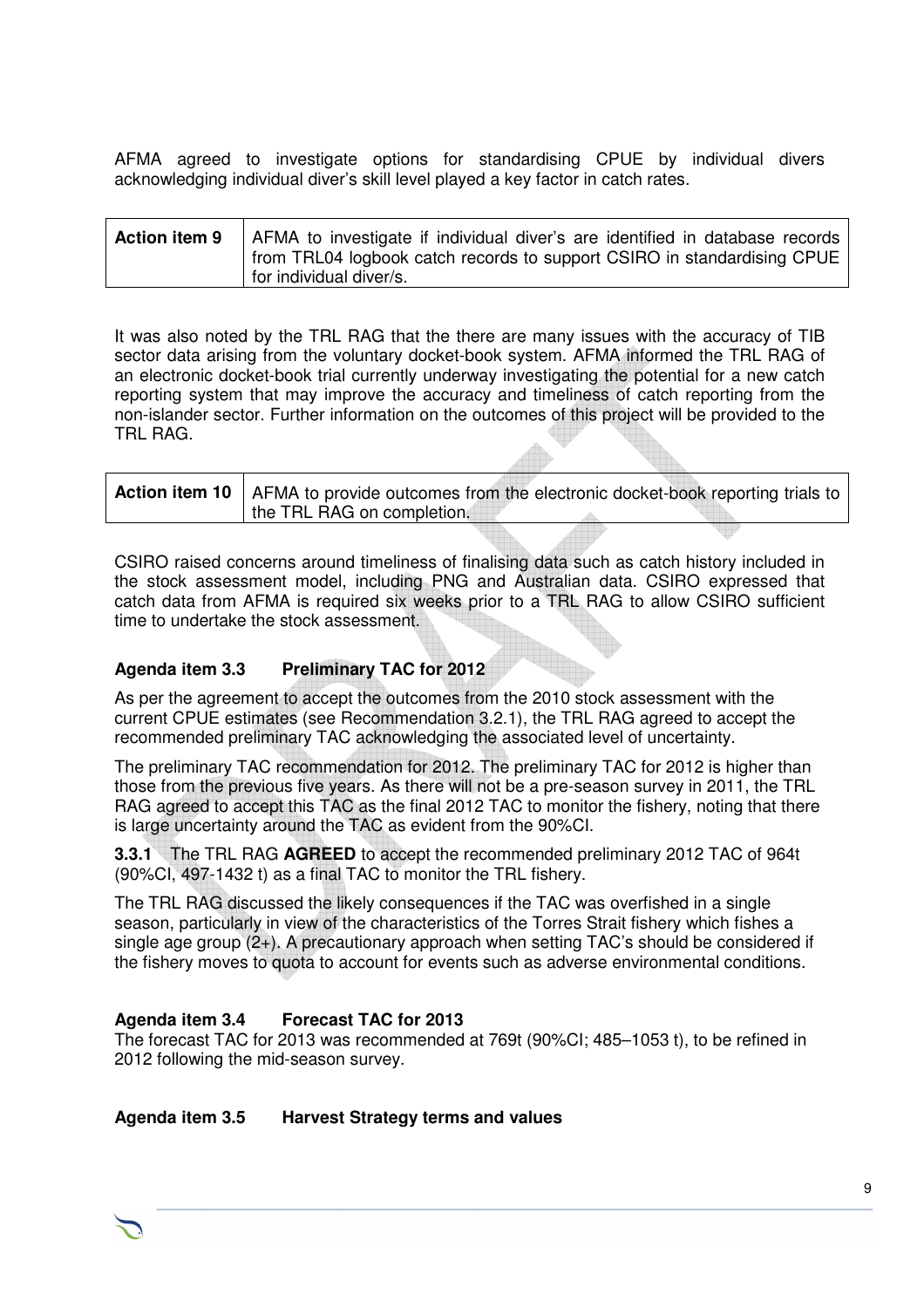AFMA agreed to investigate options for standardising CPUE by individual divers acknowledging individual diver's skill level played a key factor in catch rates.

| <b>Action item 9</b> AFMA to investigate if individual diver's are identified in database records<br>from TRL04 logbook catch records to support CSIRO in standardising CPUE |
|------------------------------------------------------------------------------------------------------------------------------------------------------------------------------|
| for individual diver/s.                                                                                                                                                      |

It was also noted by the TRL RAG that the there are many issues with the accuracy of TIB sector data arising from the voluntary docket-book system. AFMA informed the TRL RAG of an electronic docket-book trial currently underway investigating the potential for a new catch reporting system that may improve the accuracy and timeliness of catch reporting from the non-islander sector. Further information on the outcomes of this project will be provided to the TRL RAG.

|                            | <b>Action item 10</b>   AFMA to provide outcomes from the electronic docket-book reporting trials to |
|----------------------------|------------------------------------------------------------------------------------------------------|
| the TRL RAG on completion. |                                                                                                      |

CSIRO raised concerns around timeliness of finalising data such as catch history included in the stock assessment model, including PNG and Australian data. CSIRO expressed that catch data from AFMA is required six weeks prior to a TRL RAG to allow CSIRO sufficient time to undertake the stock assessment.

#### **Agenda item 3.3 Preliminary TAC for 2012**

As per the agreement to accept the outcomes from the 2010 stock assessment with the current CPUE estimates (see Recommendation 3.2.1), the TRL RAG agreed to accept the recommended preliminary TAC acknowledging the associated level of uncertainty.

The preliminary TAC recommendation for 2012. The preliminary TAC for 2012 is higher than those from the previous five years. As there will not be a pre-season survey in 2011, the TRL RAG agreed to accept this TAC as the final 2012 TAC to monitor the fishery, noting that there is large uncertainty around the TAC as evident from the 90%CI.

**3.3.1** The TRL RAG **AGREED** to accept the recommended preliminary 2012 TAC of 964t (90%CI, 497-1432 t) as a final TAC to monitor the TRL fishery.

The TRL RAG discussed the likely consequences if the TAC was overfished in a single season, particularly in view of the characteristics of the Torres Strait fishery which fishes a single age group (2+). A precautionary approach when setting TAC's should be considered if the fishery moves to quota to account for events such as adverse environmental conditions.

#### **Agenda item 3.4 Forecast TAC for 2013**

The forecast TAC for 2013 was recommended at 769t (90%CI; 485–1053 t), to be refined in 2012 following the mid-season survey.

#### **Agenda item 3.5 Harvest Strategy terms and values**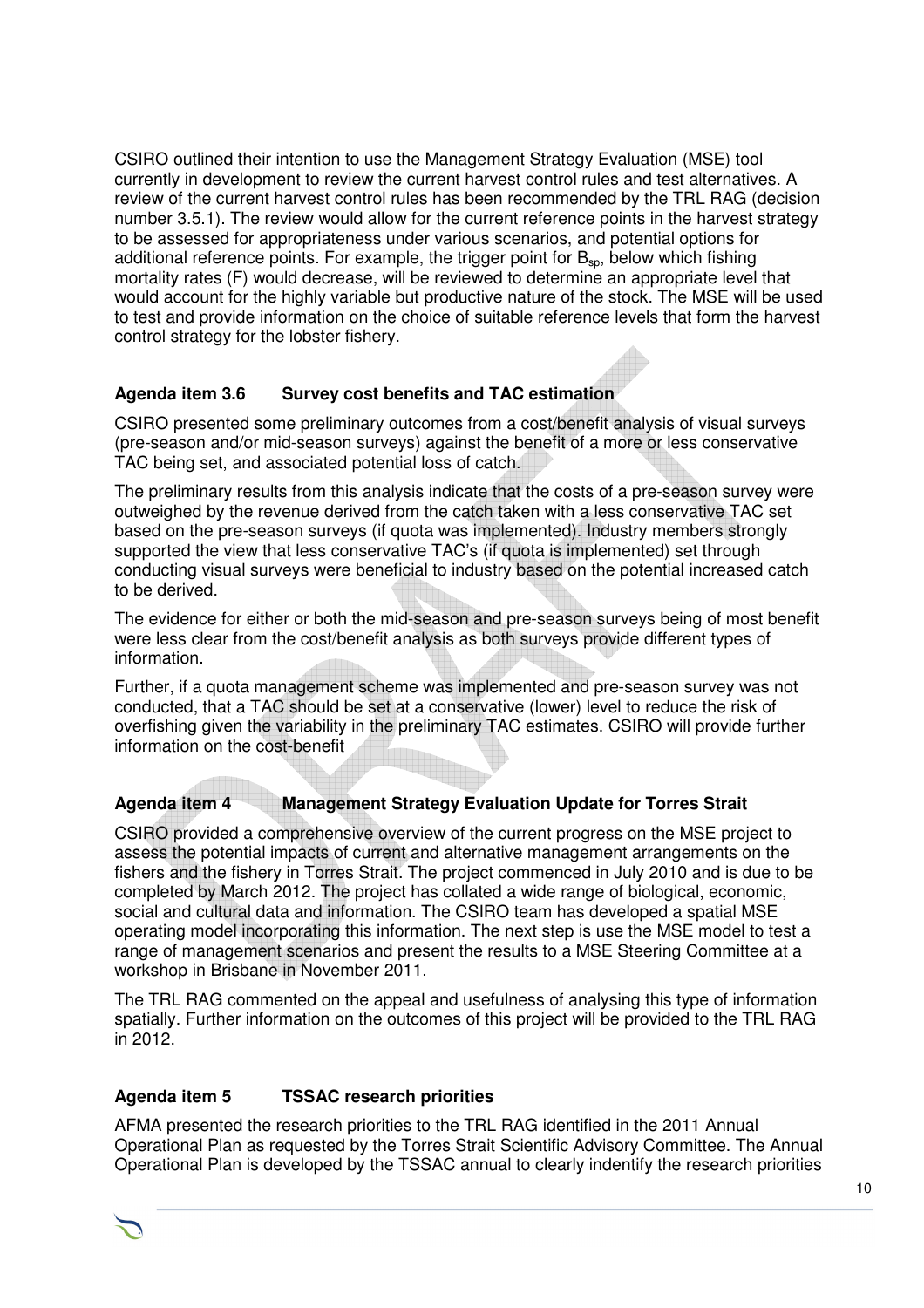CSIRO outlined their intention to use the Management Strategy Evaluation (MSE) tool currently in development to review the current harvest control rules and test alternatives. A review of the current harvest control rules has been recommended by the TRL RAG (decision number 3.5.1). The review would allow for the current reference points in the harvest strategy to be assessed for appropriateness under various scenarios, and potential options for additional reference points. For example, the trigger point for  $B_{\text{so}}$ , below which fishing mortality rates (F) would decrease, will be reviewed to determine an appropriate level that would account for the highly variable but productive nature of the stock. The MSE will be used to test and provide information on the choice of suitable reference levels that form the harvest control strategy for the lobster fishery.

# **Agenda item 3.6 Survey cost benefits and TAC estimation**

CSIRO presented some preliminary outcomes from a cost/benefit analysis of visual surveys (pre-season and/or mid-season surveys) against the benefit of a more or less conservative TAC being set, and associated potential loss of catch.

The preliminary results from this analysis indicate that the costs of a pre-season survey were outweighed by the revenue derived from the catch taken with a less conservative TAC set based on the pre-season surveys (if quota was implemented). Industry members strongly supported the view that less conservative TAC's (if quota is implemented) set through conducting visual surveys were beneficial to industry based on the potential increased catch to be derived.

The evidence for either or both the mid-season and pre-season surveys being of most benefit were less clear from the cost/benefit analysis as both surveys provide different types of information.

Further, if a quota management scheme was implemented and pre-season survey was not conducted, that a TAC should be set at a conservative (lower) level to reduce the risk of overfishing given the variability in the preliminary TAC estimates. CSIRO will provide further information on the cost-benefit

# **Agenda item 4 Management Strategy Evaluation Update for Torres Strait**

CSIRO provided a comprehensive overview of the current progress on the MSE project to assess the potential impacts of current and alternative management arrangements on the fishers and the fishery in Torres Strait. The project commenced in July 2010 and is due to be completed by March 2012. The project has collated a wide range of biological, economic, social and cultural data and information. The CSIRO team has developed a spatial MSE operating model incorporating this information. The next step is use the MSE model to test a range of management scenarios and present the results to a MSE Steering Committee at a workshop in Brisbane in November 2011.

The TRL RAG commented on the appeal and usefulness of analysing this type of information spatially. Further information on the outcomes of this project will be provided to the TRL RAG in 2012.

#### **Agenda item 5 TSSAC research priorities**

AFMA presented the research priorities to the TRL RAG identified in the 2011 Annual Operational Plan as requested by the Torres Strait Scientific Advisory Committee. The Annual Operational Plan is developed by the TSSAC annual to clearly indentify the research priorities